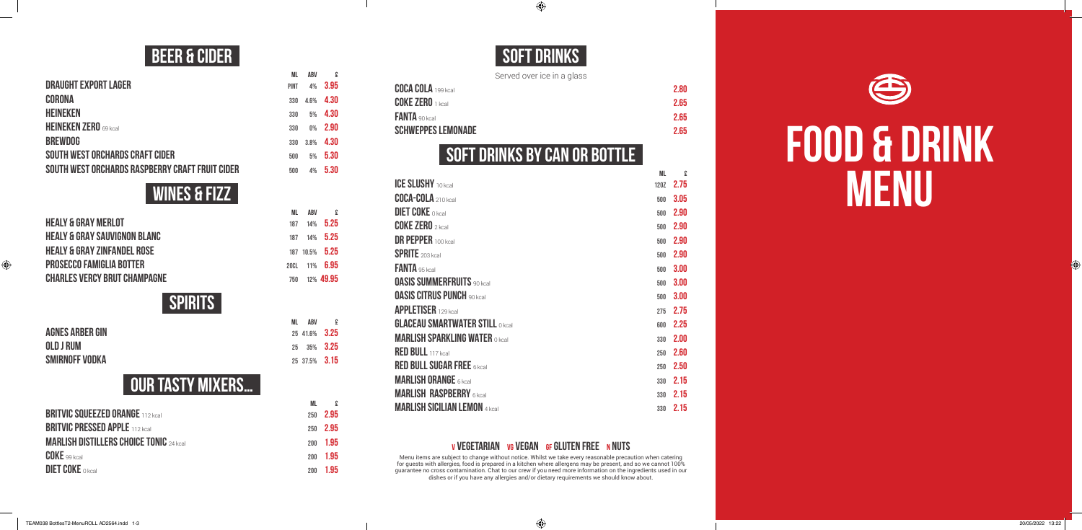# **FOOD & DRINK MENU**

### **BEER & CIDER**

| ML.         | ABV   | £    |
|-------------|-------|------|
| <b>PINT</b> | 4%    | 3.95 |
| 330         | 4.6%  | 4.30 |
| 330         | 5%    | 4.30 |
| 330         | $0\%$ | 2.90 |
| 330         | 3.8%  | 4.30 |
| 500         | 5%    | 5.30 |
| 500         | 4%    | 5.30 |
|             |       |      |

### **WINES & FIZZ**

**ML ABV £**

| <b>HEALY &amp; GRAY MERLOT</b>          | 187 | $14\%$ 5.25    |
|-----------------------------------------|-----|----------------|
| <b>HEALY &amp; GRAY SAUVIGNON BLANC</b> | 187 | $14\%$ 5.25    |
| <b>HEALY &amp; GRAY ZINFANDEL ROSE</b>  |     | 187 10.5% 5.25 |
| <b>PROSECCO FAMIGLIA BOTTER</b>         |     | 200L 11% 6.95  |
| <b>CHARLES VERCY BRUT CHAMPAGNE</b>     | 750 | 12% 49.95      |
|                                         |     |                |

### **SPIRITS**

| <b>AGNES ARBER GIN</b> |  |  |
|------------------------|--|--|
| OLD J RUM              |  |  |
| SMIRNOFF VODKA         |  |  |

**ML ABV £ AGNES ARBER GIN** <sup>25</sup> 41.6% **3.25 OLD J RUM** <sup>25</sup> 35% **3.25 SMIRNOFF VODKA** <sup>25</sup> 37.5% **3.15**

### **Our tasty mixers…**

|                                                | ML         | £     |
|------------------------------------------------|------------|-------|
| <b>BRITVIC SQUEEZED ORANGE 112 kcal</b>        | 250        | 2.95  |
| <b>BRITVIC PRESSED APPLE 112 kcal</b>          | 250        | -2.95 |
| <b>MARLISH DISTILLERS CHOICE TONIC 24 kcal</b> | <b>200</b> | -1.95 |
| <b>COKE</b> 99 kcal                            | <b>200</b> | 1.95  |
| <b>DIET COKE</b> O kcal                        | 200        | 1.95  |

### **SOFT DRINKS**

 $\bigoplus$ 

Served over ice in a glass

| <b>COCA COLA</b> 199 kcal | 2.80 |
|---------------------------|------|
| $COKE$ $ZERO$ $1$ $kcal$  | 2.65 |
| FANTA 90 kcal             | 2.65 |
| <b>SCHWEPPES LEMONADE</b> | 2.65 |

### **SOFT DRINKS BY CAN OR BOTTLE**

**ML** *<b><i>AL* 

|                                         | <b>IVIL</b> | z    |
|-----------------------------------------|-------------|------|
| <b>ICE SLUSHY</b> 10 kcal               | <b>120Z</b> | 2.75 |
| <b>COCA-COLA</b> 210 kcal               | 500         | 3.05 |
| <b>DIET COKE O kcal</b>                 | 500         | 2.90 |
| <b>COKE ZERO</b> $2$ kcal               | 500         | 2.90 |
| <b>DR PEPPER 100 kcal</b>               | 500         | 2.90 |
| <b>SPRITE</b> 203 kcal                  | 500         | 2.90 |
| <b>FANTA</b> 95 kcal                    | 500         | 3.00 |
| <b>OASIS SUMMERFRUITS 90 kcall</b>      | 500         | 3.00 |
| <b>OASIS CITRUS PUNCH 90 kcal</b>       | 500         | 3.00 |
| <b>APPLETISER</b> 129 kcal              | 275         | 2.75 |
| <b>GLACEAU SMARTWATER STILL O KCall</b> | 600         | 2.25 |
| <b>MARLISH SPARKLING WATER O KCall</b>  | 330         | 2.00 |
| <b>RED BULL</b> 117 kcal                | 250         | 2.60 |
| <b>RED BULL SUGAR FREE 6 kcall</b>      | 250         | 2.50 |
| <b>MARLISH ORANGE 6 kcal</b>            | 330         | 2.15 |
| <b>MARLISH RASPBERRY 6 kcal</b>         | 330         | 2.15 |
| <b>MARLISH SICILIAN LEMON 4 kcal</b>    | 330         | 2.15 |

#### **V VEGETARIAN VG VEGAN GF GLUTEN FREE N NUTS**

Menu items are subject to change without notice. Whilst we take every reasonable precaution when catering for guests with allergies, food is prepared in a kitchen where allergens may be present, and so we cannot 100% guarantee no cross contamination. Chat to our crew if you need more information on the ingredients used in our dishes or if you have any allergies and/or dietary requirements we should know about.